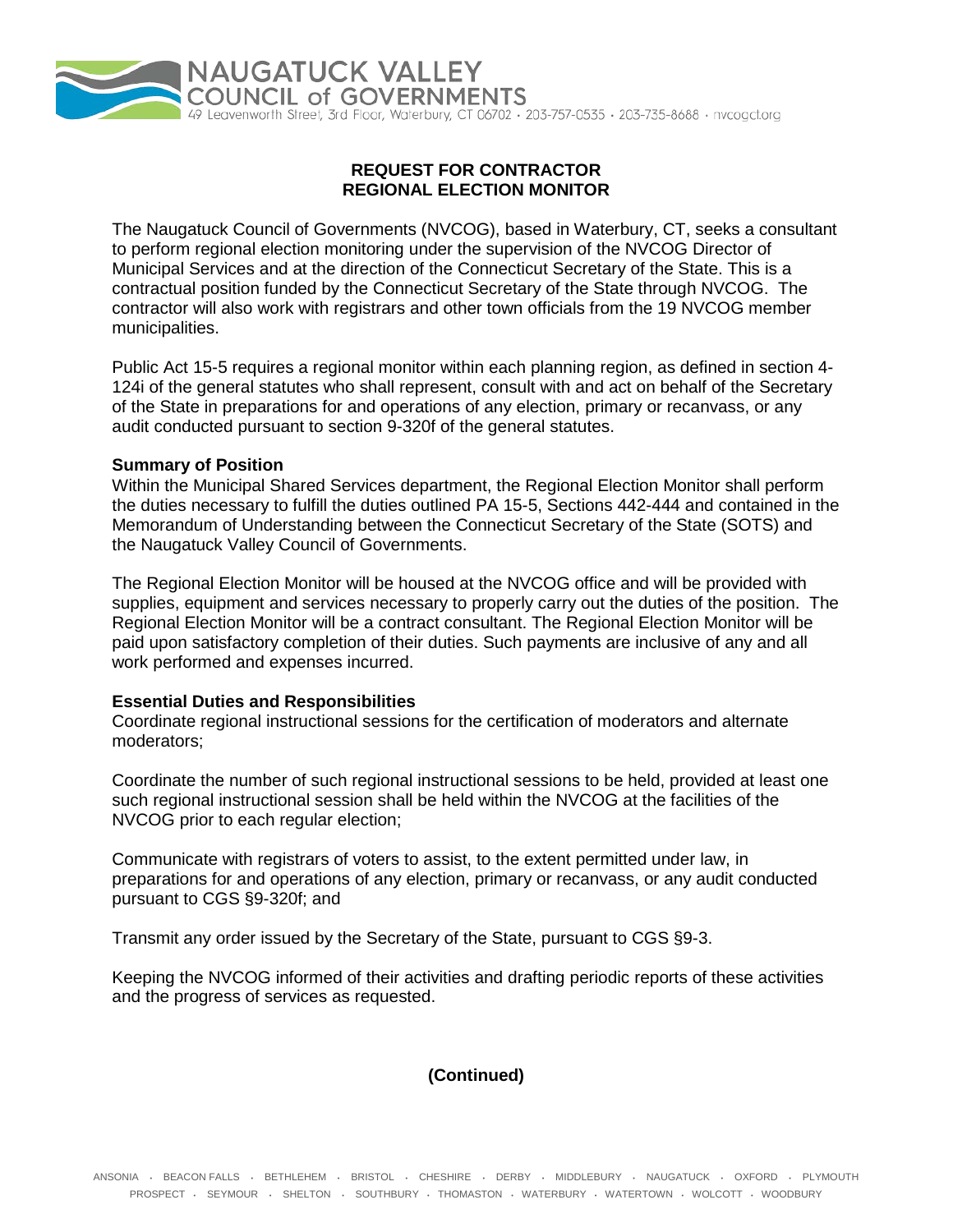

# **REQUEST FOR CONTRACTOR REGIONAL ELECTION MONITOR**

The Naugatuck Council of Governments (NVCOG), based in Waterbury, CT, seeks a consultant to perform regional election monitoring under the supervision of the NVCOG Director of Municipal Services and at the direction of the Connecticut Secretary of the State. This is a contractual position funded by the Connecticut Secretary of the State through NVCOG. The contractor will also work with registrars and other town officials from the 19 NVCOG member municipalities.

Public Act 15-5 requires a regional monitor within each planning region, as defined in section 4- 124i of the general statutes who shall represent, consult with and act on behalf of the Secretary of the State in preparations for and operations of any election, primary or recanvass, or any audit conducted pursuant to section 9-320f of the general statutes.

#### **Summary of Position**

Within the Municipal Shared Services department, the Regional Election Monitor shall perform the duties necessary to fulfill the duties outlined PA 15-5, Sections 442-444 and contained in the Memorandum of Understanding between the Connecticut Secretary of the State (SOTS) and the Naugatuck Valley Council of Governments.

The Regional Election Monitor will be housed at the NVCOG office and will be provided with supplies, equipment and services necessary to properly carry out the duties of the position. The Regional Election Monitor will be a contract consultant. The Regional Election Monitor will be paid upon satisfactory completion of their duties. Such payments are inclusive of any and all work performed and expenses incurred.

#### **Essential Duties and Responsibilities**

Coordinate regional instructional sessions for the certification of moderators and alternate moderators;

Coordinate the number of such regional instructional sessions to be held, provided at least one such regional instructional session shall be held within the NVCOG at the facilities of the NVCOG prior to each regular election;

Communicate with registrars of voters to assist, to the extent permitted under law, in preparations for and operations of any election, primary or recanvass, or any audit conducted pursuant to CGS §9-320f; and

Transmit any order issued by the Secretary of the State, pursuant to CGS §9-3.

Keeping the NVCOG informed of their activities and drafting periodic reports of these activities and the progress of services as requested.

# **(Continued)**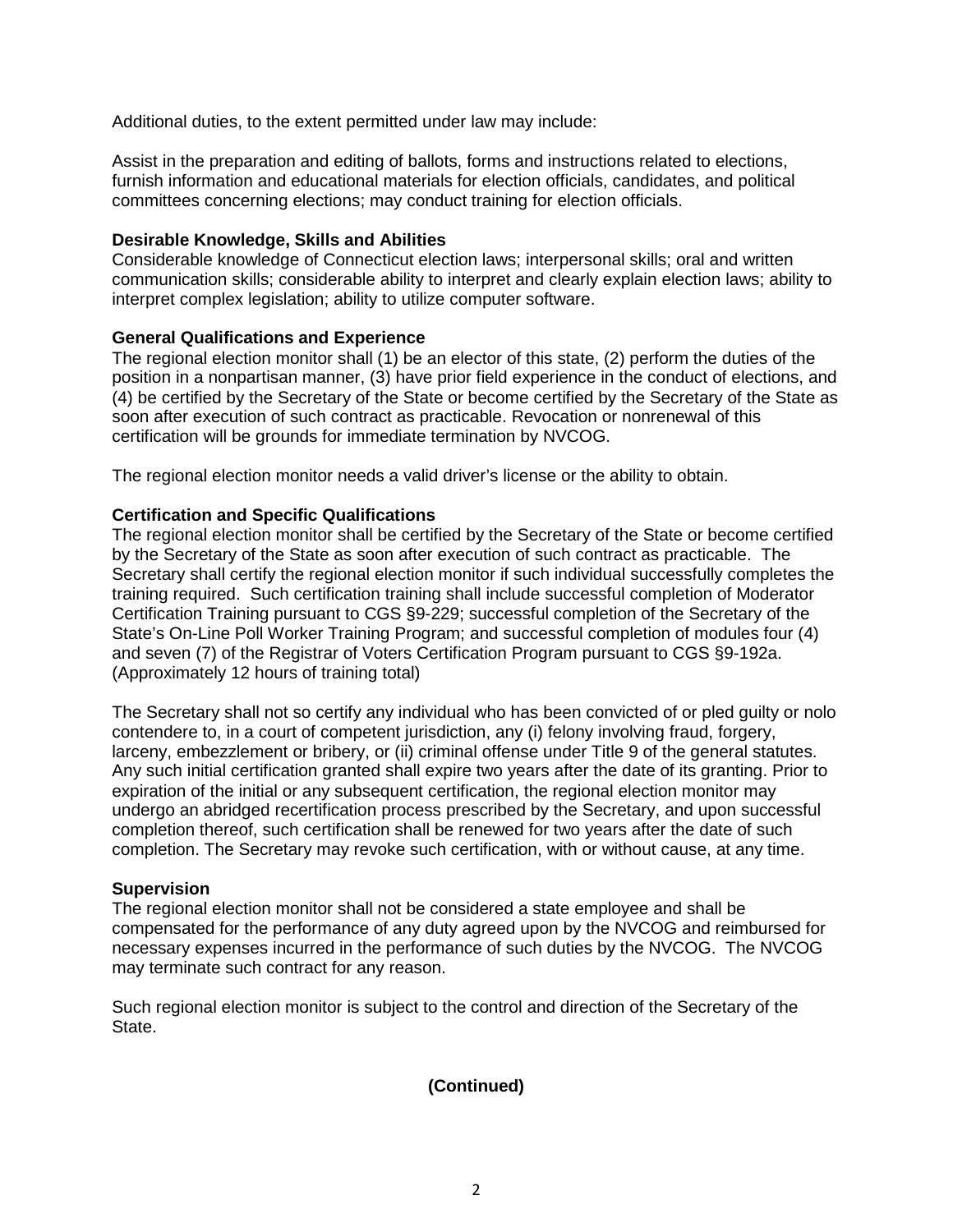Additional duties, to the extent permitted under law may include:

Assist in the preparation and editing of ballots, forms and instructions related to elections, furnish information and educational materials for election officials, candidates, and political committees concerning elections; may conduct training for election officials.

## **Desirable Knowledge, Skills and Abilities**

Considerable knowledge of Connecticut election laws; interpersonal skills; oral and written communication skills; considerable ability to interpret and clearly explain election laws; ability to interpret complex legislation; ability to utilize computer software.

## **General Qualifications and Experience**

The regional election monitor shall (1) be an elector of this state, (2) perform the duties of the position in a nonpartisan manner, (3) have prior field experience in the conduct of elections, and (4) be certified by the Secretary of the State or become certified by the Secretary of the State as soon after execution of such contract as practicable. Revocation or nonrenewal of this certification will be grounds for immediate termination by NVCOG.

The regional election monitor needs a valid driver's license or the ability to obtain.

## **Certification and Specific Qualifications**

The regional election monitor shall be certified by the Secretary of the State or become certified by the Secretary of the State as soon after execution of such contract as practicable. The Secretary shall certify the regional election monitor if such individual successfully completes the training required. Such certification training shall include successful completion of Moderator Certification Training pursuant to CGS §9-229; successful completion of the Secretary of the State's On-Line Poll Worker Training Program; and successful completion of modules four (4) and seven (7) of the Registrar of Voters Certification Program pursuant to CGS §9-192a. (Approximately 12 hours of training total)

The Secretary shall not so certify any individual who has been convicted of or pled guilty or nolo contendere to, in a court of competent jurisdiction, any (i) felony involving fraud, forgery, larceny, embezzlement or bribery, or (ii) criminal offense under Title 9 of the general statutes. Any such initial certification granted shall expire two years after the date of its granting. Prior to expiration of the initial or any subsequent certification, the regional election monitor may undergo an abridged recertification process prescribed by the Secretary, and upon successful completion thereof, such certification shall be renewed for two years after the date of such completion. The Secretary may revoke such certification, with or without cause, at any time.

#### **Supervision**

The regional election monitor shall not be considered a state employee and shall be compensated for the performance of any duty agreed upon by the NVCOG and reimbursed for necessary expenses incurred in the performance of such duties by the NVCOG. The NVCOG may terminate such contract for any reason.

Such regional election monitor is subject to the control and direction of the Secretary of the State.

## **(Continued)**